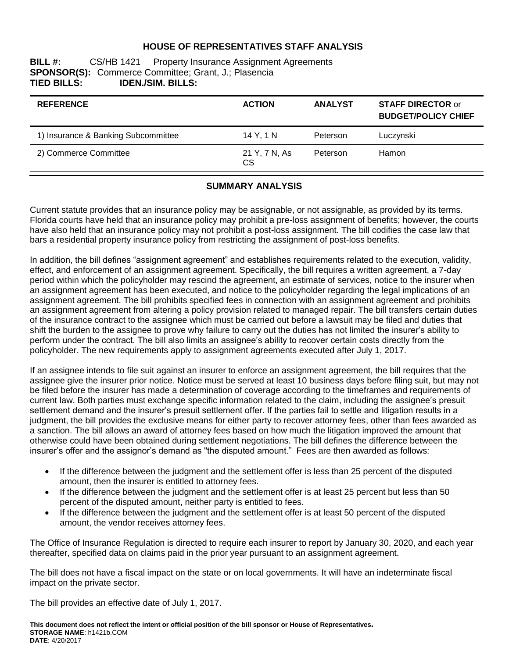#### **HOUSE OF REPRESENTATIVES STAFF ANALYSIS**

**BILL #:** CS/HB 1421 Property Insurance Assignment Agreements **SPONSOR(S):** Commerce Committee; Grant, J.; Plasencia **TIED BILLS: IDEN./SIM. BILLS:**

| <b>REFERENCE</b>                    | <b>ACTION</b>       | <b>ANALYST</b> | <b>STAFF DIRECTOR or</b><br><b>BUDGET/POLICY CHIEF</b> |
|-------------------------------------|---------------------|----------------|--------------------------------------------------------|
| 1) Insurance & Banking Subcommittee | 14 Y, 1 N           | Peterson       | Luczynski                                              |
| 2) Commerce Committee               | 21 Y, 7 N, As<br>CS | Peterson       | <b>Hamon</b>                                           |

#### **SUMMARY ANALYSIS**

Current statute provides that an insurance policy may be assignable, or not assignable, as provided by its terms. Florida courts have held that an insurance policy may prohibit a pre-loss assignment of benefits; however, the courts have also held that an insurance policy may not prohibit a post-loss assignment. The bill codifies the case law that bars a residential property insurance policy from restricting the assignment of post-loss benefits.

In addition, the bill defines "assignment agreement" and establishes requirements related to the execution, validity, effect, and enforcement of an assignment agreement. Specifically, the bill requires a written agreement, a 7-day period within which the policyholder may rescind the agreement, an estimate of services, notice to the insurer when an assignment agreement has been executed, and notice to the policyholder regarding the legal implications of an assignment agreement. The bill prohibits specified fees in connection with an assignment agreement and prohibits an assignment agreement from altering a policy provision related to managed repair. The bill transfers certain duties of the insurance contract to the assignee which must be carried out before a lawsuit may be filed and duties that shift the burden to the assignee to prove why failure to carry out the duties has not limited the insurer's ability to perform under the contract. The bill also limits an assignee's ability to recover certain costs directly from the policyholder. The new requirements apply to assignment agreements executed after July 1, 2017.

If an assignee intends to file suit against an insurer to enforce an assignment agreement, the bill requires that the assignee give the insurer prior notice. Notice must be served at least 10 business days before filing suit, but may not be filed before the insurer has made a determination of coverage according to the timeframes and requirements of current law. Both parties must exchange specific information related to the claim, including the assignee's presuit settlement demand and the insurer's presuit settlement offer. If the parties fail to settle and litigation results in a judgment, the bill provides the exclusive means for either party to recover attorney fees, other than fees awarded as a sanction. The bill allows an award of attorney fees based on how much the litigation improved the amount that otherwise could have been obtained during settlement negotiations. The bill defines the difference between the insurer's offer and the assignor's demand as "the disputed amount." Fees are then awarded as follows:

- If the difference between the judgment and the settlement offer is less than 25 percent of the disputed amount, then the insurer is entitled to attorney fees.
- If the difference between the judgment and the settlement offer is at least 25 percent but less than 50 percent of the disputed amount, neither party is entitled to fees.
- If the difference between the judgment and the settlement offer is at least 50 percent of the disputed amount, the vendor receives attorney fees.

The Office of Insurance Regulation is directed to require each insurer to report by January 30, 2020, and each year thereafter, specified data on claims paid in the prior year pursuant to an assignment agreement.

The bill does not have a fiscal impact on the state or on local governments. It will have an indeterminate fiscal impact on the private sector.

The bill provides an effective date of July 1, 2017.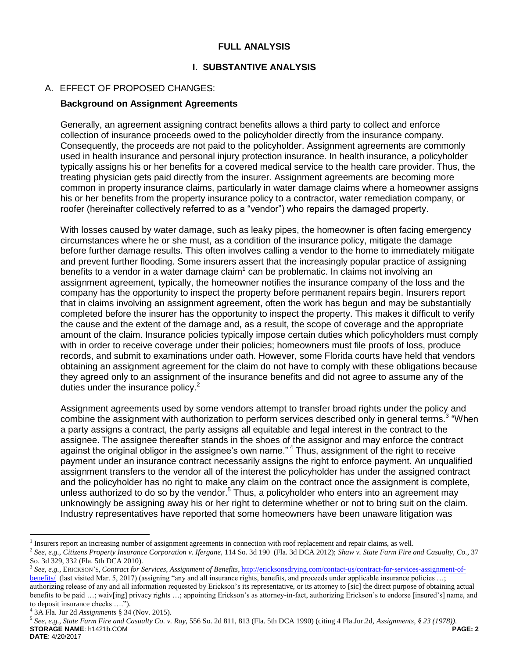### **FULL ANALYSIS**

#### **I. SUBSTANTIVE ANALYSIS**

### A. EFFECT OF PROPOSED CHANGES:

#### **Background on Assignment Agreements**

Generally, an agreement assigning contract benefits allows a third party to collect and enforce collection of insurance proceeds owed to the policyholder directly from the insurance company. Consequently, the proceeds are not paid to the policyholder. Assignment agreements are commonly used in health insurance and personal injury protection insurance. In health insurance, a policyholder typically assigns his or her benefits for a covered medical service to the health care provider. Thus, the treating physician gets paid directly from the insurer. Assignment agreements are becoming more common in property insurance claims, particularly in water damage claims where a homeowner assigns his or her benefits from the property insurance policy to a contractor, water remediation company, or roofer (hereinafter collectively referred to as a "vendor") who repairs the damaged property.

With losses caused by water damage, such as leaky pipes, the homeowner is often facing emergency circumstances where he or she must, as a condition of the insurance policy, mitigate the damage before further damage results. This often involves calling a vendor to the home to immediately mitigate and prevent further flooding. Some insurers assert that the increasingly popular practice of assigning benefits to a vendor in a water damage claim $1$  can be problematic. In claims not involving an assignment agreement, typically, the homeowner notifies the insurance company of the loss and the company has the opportunity to inspect the property before permanent repairs begin. Insurers report that in claims involving an assignment agreement, often the work has begun and may be substantially completed before the insurer has the opportunity to inspect the property. This makes it difficult to verify the cause and the extent of the damage and, as a result, the scope of coverage and the appropriate amount of the claim. Insurance policies typically impose certain duties which policyholders must comply with in order to receive coverage under their policies; homeowners must file proofs of loss, produce records, and submit to examinations under oath. However, some Florida courts have held that vendors obtaining an assignment agreement for the claim do not have to comply with these obligations because they agreed only to an assignment of the insurance benefits and did not agree to assume any of the duties under the insurance policy.<sup>2</sup>

Assignment agreements used by some vendors attempt to transfer broad rights under the policy and combine the assignment with authorization to perform services described only in general terms.<sup>3</sup> "When a party assigns a contract, the party assigns all equitable and legal interest in the contract to the assignee. The assignee thereafter stands in the shoes of the assignor and may enforce the contract against the original obligor in the assignee's own name." <sup>4</sup> Thus, assignment of the right to receive payment under an insurance contract necessarily assigns the right to enforce payment. An unqualified assignment transfers to the vendor all of the interest the policyholder has under the assigned contract and the policyholder has no right to make any claim on the contract once the assignment is complete, unless authorized to do so by the vendor.<sup>5</sup> Thus, a policyholder who enters into an agreement may unknowingly be assigning away his or her right to determine whether or not to bring suit on the claim. Industry representatives have reported that some homeowners have been unaware litigation was

 $\overline{a}$ 

<sup>&</sup>lt;sup>1</sup> Insurers report an increasing number of assignment agreements in connection with roof replacement and repair claims, as well.

<sup>2</sup> *See, e.g., Citizens Property Insurance Corporation v. Ifergane,* 114 So. 3d 190 (Fla. 3d DCA 2012); *Shaw v. State Farm Fire and Casualty, Co.,* 37 So. 3d 329, 332 (Fla. 5th DCA 2010).

<sup>3</sup> *See, e.g.*, ERICKSON'S, *Contract for Services, Assignment of Benefits*, [http://ericksonsdrying.com/contact-us/contract-for-services-assignment-of](http://ericksonsdrying.com/contact-us/contract-for-services-assignment-of-benefits/)[benefits/](http://ericksonsdrying.com/contact-us/contract-for-services-assignment-of-benefits/) (last visited Mar. 5, 2017) (assigning "any and all insurance rights, benefits, and proceeds under applicable insurance policies ...; authorizing release of any and all information requested by Erickson's its representative, or its attorney to [sic] the direct purpose of obtaining actual benefits to be paid ...; waiv[ing] privacy rights ...; appointing Erickson's as attorney-in-fact, authorizing Erickson's to endorse [insured's] name, and to deposit insurance checks ….").

<sup>4</sup> 3A Fla. Jur 2d *Assignments* § 34 (Nov. 2015).

**STORAGE NAME**: h1421b.COM **PAGE: 2 DATE**: 4/20/2017 5 *See, e.g., State Farm Fire and Casualty Co. v. Ray,* 556 So. 2d 811, 813 (Fla. 5th DCA 1990) (citing 4 Fla.Jur.2d, *Assignments, § 23 (1978))*.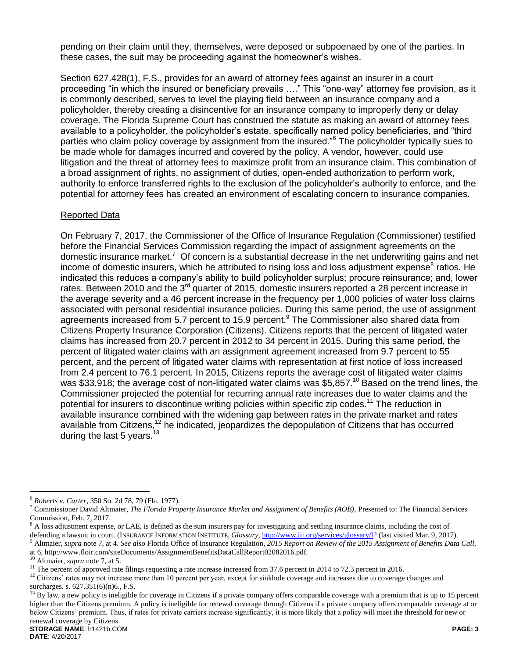pending on their claim until they, themselves, were deposed or subpoenaed by one of the parties. In these cases, the suit may be proceeding against the homeowner's wishes.

Section 627.428(1), F.S., provides for an award of attorney fees against an insurer in a court proceeding "in which the insured or beneficiary prevails …." This "one-way" attorney fee provision, as it is commonly described, serves to level the playing field between an insurance company and a policyholder, thereby creating a disincentive for an insurance company to improperly deny or delay coverage. The Florida Supreme Court has construed the statute as making an award of attorney fees available to a policyholder, the policyholder's estate, specifically named policy beneficiaries, and "third parties who claim policy coverage by assignment from the insured."<sup>6</sup> The policyholder typically sues to be made whole for damages incurred and covered by the policy. A vendor, however, could use litigation and the threat of attorney fees to maximize profit from an insurance claim. This combination of a broad assignment of rights, no assignment of duties, open-ended authorization to perform work, authority to enforce transferred rights to the exclusion of the policyholder's authority to enforce, and the potential for attorney fees has created an environment of escalating concern to insurance companies.

#### Reported Data

On February 7, 2017, the Commissioner of the Office of Insurance Regulation (Commissioner) testified before the Financial Services Commission regarding the impact of assignment agreements on the domestic insurance market.<sup>7</sup> Of concern is a substantial decrease in the net underwriting gains and net income of domestic insurers, which he attributed to rising loss and loss adjustment expense<sup>8</sup> ratios. He indicated this reduces a company's ability to build policyholder surplus; procure reinsurance; and, lower rates. Between 2010 and the 3<sup>rd</sup> quarter of 2015, domestic insurers reported a 28 percent increase in the average severity and a 46 percent increase in the frequency per 1,000 policies of water loss claims associated with personal residential insurance policies. During this same period, the use of assignment agreements increased from 5.7 percent to 15.9 percent.<sup>9</sup> The Commissioner also shared data from Citizens Property Insurance Corporation (Citizens). Citizens reports that the percent of litigated water claims has increased from 20.7 percent in 2012 to 34 percent in 2015. During this same period, the percent of litigated water claims with an assignment agreement increased from 9.7 percent to 55 percent, and the percent of litigated water claims with representation at first notice of loss increased from 2.4 percent to 76.1 percent. In 2015, Citizens reports the average cost of litigated water claims was \$33,918; the average cost of non-litigated water claims was \$5,857.<sup>10</sup> Based on the trend lines, the Commissioner projected the potential for recurring annual rate increases due to water claims and the potential for insurers to discontinue writing policies within specific zip codes.<sup>11</sup> The reduction in available insurance combined with the widening gap between rates in the private market and rates available from Citizens,<sup>12</sup> he indicated, jeopardizes the depopulation of Citizens that has occurred during the last 5 years.<sup>13</sup>

 $\overline{a}$ <sup>6</sup> *Roberts v. Carter,* 350 So. 2d 78, 79 (Fla. 1977).

<sup>7</sup> Commissioner David Altmaier, *The Florida Property Insurance Market and Assignment of Benefits (AOB),* Presented to: The Financial Services Commission, Feb. 7, 2017.

 $8$  A loss adjustment expense, or LAE, is defined as the sum insurers pay for investigating and settling insurance claims, including the cost of defending a lawsuit in court. (INSURANCE INFORMATION INSTITUTE, *Glossary*[, http://www.iii.org/services/glossary/l?](http://www.iii.org/services/glossary/l) (last visited Mar. 9, 2017).

<sup>9</sup> Altmaier, *supra* note 7, at 4. *See also* Florida Office of Insurance Regulation, *2015 Report on Review of the 2015 Assignment of Benefits Data Call,* at 6, http://www.floir.com/siteDocuments/AssignmentBenefitsDataCallReport02082016.pdf.

<sup>10</sup> Altmaier, *supra* note 7, at 5.

<sup>&</sup>lt;sup>11</sup> The percent of approved rate filings requesting a rate increase increased from 37.6 percent in 2014 to 72.3 percent in 2016.

<sup>&</sup>lt;sup>12</sup> Citizens' rates may not increase more than 10 percent per year, except for sinkhole coverage and increases due to coverage changes and surcharges. s. 627.351(6)(n)6., F.S.

 $^{13}$  By law, a new policy is ineligible for coverage in Citizens if a private company offers comparable coverage with a premium that is up to 15 percent higher than the Citizens premium. A policy is ineligible for renewal coverage through Citizens if a private company offers comparable coverage at or below Citizens' premium. Thus, if rates for private carriers increase significantly, it is more likely that a policy will meet the threshold for new or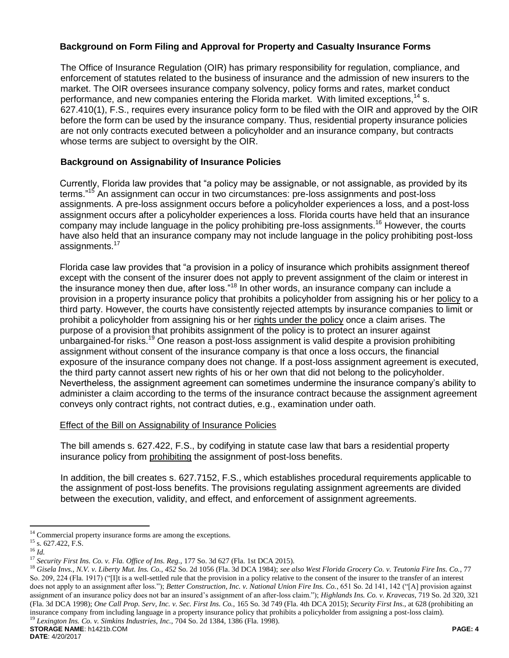# **Background on Form Filing and Approval for Property and Casualty Insurance Forms**

The Office of Insurance Regulation (OIR) has primary responsibility for regulation, compliance, and enforcement of statutes related to the business of insurance and the admission of new insurers to the market. The OIR oversees insurance company solvency, policy forms and rates, market conduct performance, and new companies entering the Florida market. With limited exceptions,  $14$  s. 627.410(1), F.S., requires every insurance policy form to be filed with the OIR and approved by the OIR before the form can be used by the insurance company. Thus, residential property insurance policies are not only contracts executed between a policyholder and an insurance company, but contracts whose terms are subject to oversight by the OIR.

## **Background on Assignability of Insurance Policies**

Currently, Florida law provides that "a policy may be assignable, or not assignable, as provided by its terms."<sup>15</sup> An assignment can occur in two circumstances: pre-loss assignments and post-loss assignments. A pre-loss assignment occurs before a policyholder experiences a loss, and a post-loss assignment occurs after a policyholder experiences a loss. Florida courts have held that an insurance company may include language in the policy prohibiting pre-loss assignments.<sup>16</sup> However, the courts have also held that an insurance company may not include language in the policy prohibiting post-loss assignments.<sup>17</sup>

Florida case law provides that "a provision in a policy of insurance which prohibits assignment thereof except with the consent of the insurer does not apply to prevent assignment of the claim or interest in the insurance money then due, after loss."<sup>18</sup> In other words, an insurance company can include a provision in a property insurance policy that prohibits a policyholder from assigning his or her policy to a third party. However, the courts have consistently rejected attempts by insurance companies to limit or prohibit a policyholder from assigning his or her rights under the policy once a claim arises. The purpose of a provision that prohibits assignment of the policy is to protect an insurer against unbargained-for risks.<sup>19</sup> One reason a post-loss assignment is valid despite a provision prohibiting assignment without consent of the insurance company is that once a loss occurs, the financial exposure of the insurance company does not change. If a post-loss assignment agreement is executed, the third party cannot assert new rights of his or her own that did not belong to the policyholder. Nevertheless, the assignment agreement can sometimes undermine the insurance company's ability to administer a claim according to the terms of the insurance contract because the assignment agreement conveys only contract rights, not contract duties, e.g., examination under oath.

### Effect of the Bill on Assignability of Insurance Policies

The bill amends s. 627.422, F.S., by codifying in statute case law that bars a residential property insurance policy from prohibiting the assignment of post-loss benefits.

In addition, the bill creates s. 627.7152, F.S., which establishes procedural requirements applicable to the assignment of post-loss benefits. The provisions regulating assignment agreements are divided between the execution, validity, and effect, and enforcement of assignment agreements.

 $\overline{a}$ 

 $14$  Commercial property insurance forms are among the exceptions.

 $15$  s. 627.422, F.S.

<sup>16</sup> *Id.*

<sup>17</sup> *Security First Ins. Co. v. Fla. Office of Ins. Reg.,* 177 So. 3d 627 (Fla. 1st DCA 2015).

**STORAGE NAME**: h1421b.COM **PAGE: 4** <sup>18</sup> *Gisela Invs., N.V. v. Liberty Mut. Ins. Co., 452* So. 2d 1056 (Fla. 3d DCA 1984); *see also West Florida Grocery Co. v. Teutonia Fire Ins. Co.*, 77 So. 209, 224 (Fla. 1917) ("[I]t is a well-settled rule that the provision in a policy relative to the consent of the insurer to the transfer of an interest does not apply to an assignment after loss."); *Better Construction, Inc. v. National Union Fire Ins. Co.*, 651 So. 2d 141, 142 ("[A] provision against assignment of an insurance policy does not bar an insured's assignment of an after-loss claim."); *Highlands Ins. Co. v. Kravecas*, 719 So. 2d 320, 321 (Fla. 3d DCA 1998); *One Call Prop. Serv, Inc. v. Sec. First Ins. Co.,* 165 So. 3d 749 (Fla. 4th DCA 2015); *Security First Ins.,* at 628 (prohibiting an insurance company from including language in a property insurance policy that prohibits a policyholder from assigning a post-loss claim). <sup>19</sup> *Lexington Ins. Co. v. Simkins Industries, Inc.,* 704 So. 2d 1384, 1386 (Fla. 1998).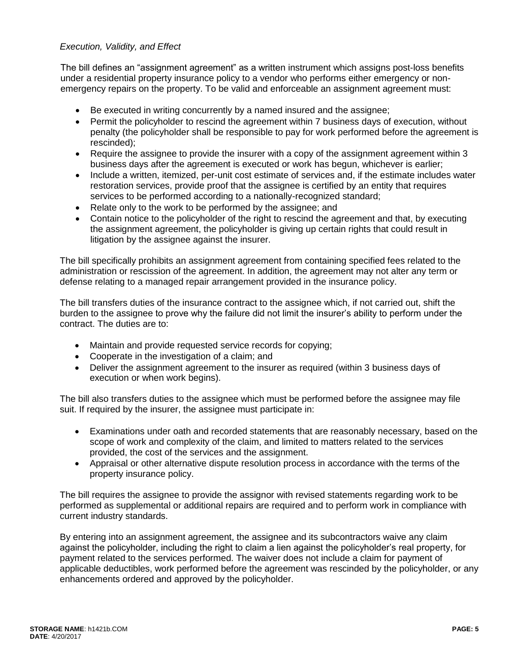## *Execution, Validity, and Effect*

The bill defines an "assignment agreement" as a written instrument which assigns post-loss benefits under a residential property insurance policy to a vendor who performs either emergency or nonemergency repairs on the property. To be valid and enforceable an assignment agreement must:

- Be executed in writing concurrently by a named insured and the assignee;
- Permit the policyholder to rescind the agreement within 7 business days of execution, without penalty (the policyholder shall be responsible to pay for work performed before the agreement is rescinded);
- Require the assignee to provide the insurer with a copy of the assignment agreement within 3 business days after the agreement is executed or work has begun, whichever is earlier;
- Include a written, itemized, per-unit cost estimate of services and, if the estimate includes water restoration services, provide proof that the assignee is certified by an entity that requires services to be performed according to a nationally-recognized standard;
- Relate only to the work to be performed by the assignee; and
- Contain notice to the policyholder of the right to rescind the agreement and that, by executing the assignment agreement, the policyholder is giving up certain rights that could result in litigation by the assignee against the insurer.

The bill specifically prohibits an assignment agreement from containing specified fees related to the administration or rescission of the agreement. In addition, the agreement may not alter any term or defense relating to a managed repair arrangement provided in the insurance policy.

The bill transfers duties of the insurance contract to the assignee which, if not carried out, shift the burden to the assignee to prove why the failure did not limit the insurer's ability to perform under the contract. The duties are to:

- Maintain and provide requested service records for copying;
- Cooperate in the investigation of a claim; and
- Deliver the assignment agreement to the insurer as required (within 3 business days of execution or when work begins).

The bill also transfers duties to the assignee which must be performed before the assignee may file suit. If required by the insurer, the assignee must participate in:

- Examinations under oath and recorded statements that are reasonably necessary, based on the scope of work and complexity of the claim, and limited to matters related to the services provided, the cost of the services and the assignment.
- Appraisal or other alternative dispute resolution process in accordance with the terms of the property insurance policy.

The bill requires the assignee to provide the assignor with revised statements regarding work to be performed as supplemental or additional repairs are required and to perform work in compliance with current industry standards.

By entering into an assignment agreement, the assignee and its subcontractors waive any claim against the policyholder, including the right to claim a lien against the policyholder's real property, for payment related to the services performed. The waiver does not include a claim for payment of applicable deductibles, work performed before the agreement was rescinded by the policyholder, or any enhancements ordered and approved by the policyholder.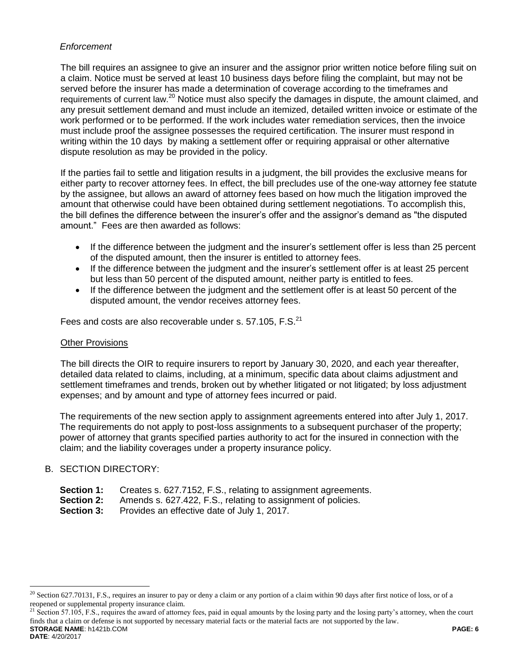# *Enforcement*

The bill requires an assignee to give an insurer and the assignor prior written notice before filing suit on a claim. Notice must be served at least 10 business days before filing the complaint, but may not be served before the insurer has made a determination of coverage according to the timeframes and requirements of current law.<sup>20</sup> Notice must also specify the damages in dispute, the amount claimed, and any presuit settlement demand and must include an itemized, detailed written invoice or estimate of the work performed or to be performed. If the work includes water remediation services, then the invoice must include proof the assignee possesses the required certification. The insurer must respond in writing within the 10 days by making a settlement offer or requiring appraisal or other alternative dispute resolution as may be provided in the policy.

If the parties fail to settle and litigation results in a judgment, the bill provides the exclusive means for either party to recover attorney fees. In effect, the bill precludes use of the one-way attorney fee statute by the assignee, but allows an award of attorney fees based on how much the litigation improved the amount that otherwise could have been obtained during settlement negotiations. To accomplish this, the bill defines the difference between the insurer's offer and the assignor's demand as "the disputed amount." Fees are then awarded as follows:

- If the difference between the judgment and the insurer's settlement offer is less than 25 percent of the disputed amount, then the insurer is entitled to attorney fees.
- If the difference between the judgment and the insurer's settlement offer is at least 25 percent but less than 50 percent of the disputed amount, neither party is entitled to fees.
- If the difference between the judgment and the settlement offer is at least 50 percent of the disputed amount, the vendor receives attorney fees.

Fees and costs are also recoverable under s. 57.105, F.S.<sup>21</sup>

### Other Provisions

The bill directs the OIR to require insurers to report by January 30, 2020, and each year thereafter, detailed data related to claims, including, at a minimum, specific data about claims adjustment and settlement timeframes and trends, broken out by whether litigated or not litigated; by loss adjustment expenses; and by amount and type of attorney fees incurred or paid.

The requirements of the new section apply to assignment agreements entered into after July 1, 2017. The requirements do not apply to post-loss assignments to a subsequent purchaser of the property; power of attorney that grants specified parties authority to act for the insured in connection with the claim; and the liability coverages under a property insurance policy.

### B. SECTION DIRECTORY:

 $\overline{a}$ 

- **Section 1:** Creates s. 627.7152, F.S., relating to assignment agreements.
- **Section 2:** Amends s. 627.422, F.S., relating to assignment of policies.
- **Section 3:** Provides an effective date of July 1, 2017.

**STORAGE NAME**: h1421b.COM **PAGE: 6 DATE**: 4/20/2017 <sup>21</sup> Section 57.105, F.S., requires the award of attorney fees, paid in equal amounts by the losing party and the losing party's attorney, when the court finds that a claim or defense is not supported by necessary material facts or the material facts are not supported by the law.

 $^{20}$  Section 627.70131, F.S., requires an insurer to pay or deny a claim or any portion of a claim within 90 days after first notice of loss, or of a reopened or supplemental property insurance claim.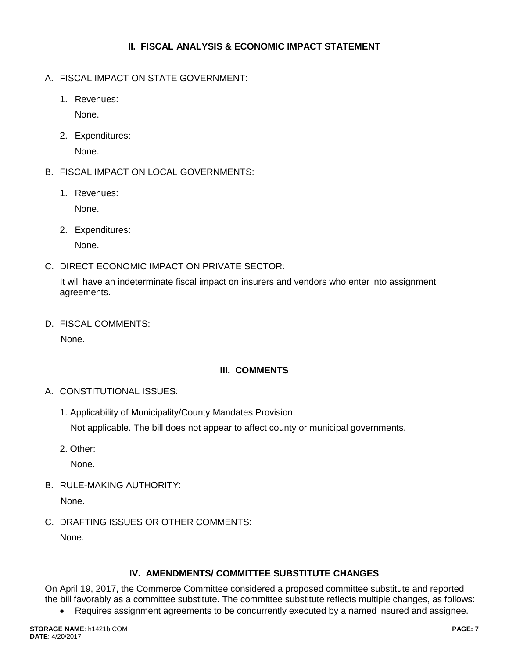# **II. FISCAL ANALYSIS & ECONOMIC IMPACT STATEMENT**

- A. FISCAL IMPACT ON STATE GOVERNMENT:
	- 1. Revenues:

None.

2. Expenditures:

None.

- B. FISCAL IMPACT ON LOCAL GOVERNMENTS:
	- 1. Revenues:

None.

2. Expenditures:

None.

C. DIRECT ECONOMIC IMPACT ON PRIVATE SECTOR:

It will have an indeterminate fiscal impact on insurers and vendors who enter into assignment agreements.

D. FISCAL COMMENTS:

None.

# **III. COMMENTS**

- A. CONSTITUTIONAL ISSUES:
	- 1. Applicability of Municipality/County Mandates Provision:

Not applicable. The bill does not appear to affect county or municipal governments.

2. Other:

None.

B. RULE-MAKING AUTHORITY:

None.

C. DRAFTING ISSUES OR OTHER COMMENTS:

None.

# **IV. AMENDMENTS/ COMMITTEE SUBSTITUTE CHANGES**

On April 19, 2017, the Commerce Committee considered a proposed committee substitute and reported the bill favorably as a committee substitute. The committee substitute reflects multiple changes, as follows:

Requires assignment agreements to be concurrently executed by a named insured and assignee.